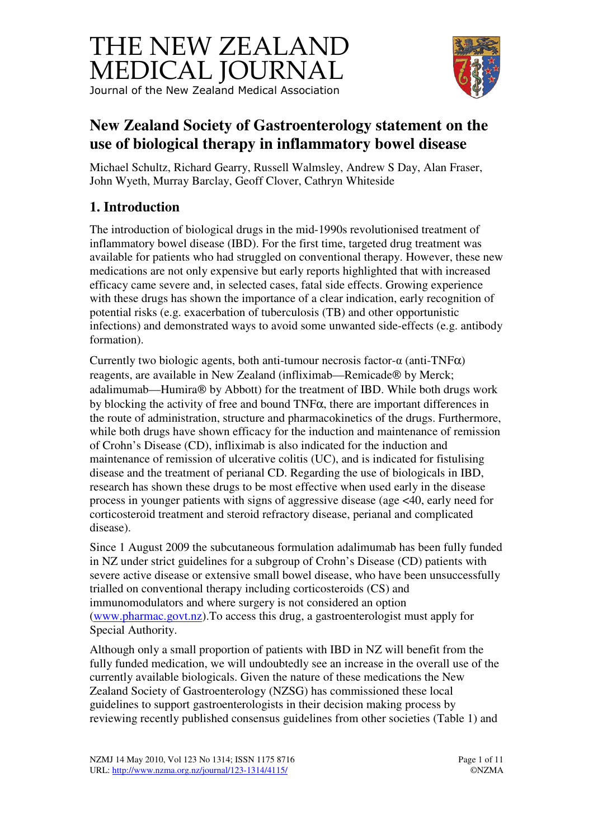



# **New Zealand Society of Gastroenterology statement on the use of biological therapy in inflammatory bowel disease**

Michael Schultz, Richard Gearry, Russell Walmsley, Andrew S Day, Alan Fraser, John Wyeth, Murray Barclay, Geoff Clover, Cathryn Whiteside

# **1. Introduction**

The introduction of biological drugs in the mid-1990s revolutionised treatment of inflammatory bowel disease (IBD). For the first time, targeted drug treatment was available for patients who had struggled on conventional therapy. However, these new medications are not only expensive but early reports highlighted that with increased efficacy came severe and, in selected cases, fatal side effects. Growing experience with these drugs has shown the importance of a clear indication, early recognition of potential risks (e.g. exacerbation of tuberculosis (TB) and other opportunistic infections) and demonstrated ways to avoid some unwanted side-effects (e.g. antibody formation).

Currently two biologic agents, both anti-tumour necrosis factor- $\alpha$  (anti-TNF $\alpha$ ) reagents, are available in New Zealand (infliximab—Remicade® by Merck; adalimumab—Humira® by Abbott) for the treatment of IBD. While both drugs work by blocking the activity of free and bound TNFα, there are important differences in the route of administration, structure and pharmacokinetics of the drugs. Furthermore, while both drugs have shown efficacy for the induction and maintenance of remission of Crohn's Disease (CD), infliximab is also indicated for the induction and maintenance of remission of ulcerative colitis (UC), and is indicated for fistulising disease and the treatment of perianal CD. Regarding the use of biologicals in IBD, research has shown these drugs to be most effective when used early in the disease process in younger patients with signs of aggressive disease (age <40, early need for corticosteroid treatment and steroid refractory disease, perianal and complicated disease).

Since 1 August 2009 the subcutaneous formulation adalimumab has been fully funded in NZ under strict guidelines for a subgroup of Crohn's Disease (CD) patients with severe active disease or extensive small bowel disease, who have been unsuccessfully trialled on conventional therapy including corticosteroids (CS) and immunomodulators and where surgery is not considered an option (www.pharmac.govt.nz).To access this drug, a gastroenterologist must apply for Special Authority.

Although only a small proportion of patients with IBD in NZ will benefit from the fully funded medication, we will undoubtedly see an increase in the overall use of the currently available biologicals. Given the nature of these medications the New Zealand Society of Gastroenterology (NZSG) has commissioned these local guidelines to support gastroenterologists in their decision making process by reviewing recently published consensus guidelines from other societies (Table 1) and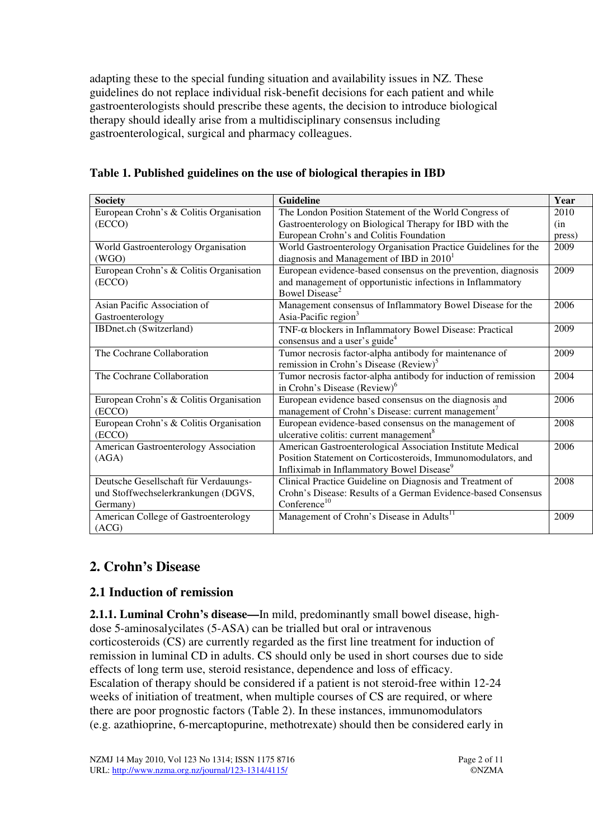adapting these to the special funding situation and availability issues in NZ. These guidelines do not replace individual risk-benefit decisions for each patient and while gastroenterologists should prescribe these agents, the decision to introduce biological therapy should ideally arise from a multidisciplinary consensus including gastroenterological, surgical and pharmacy colleagues.

| <b>Society</b>                          | <b>Guideline</b>                                                | Year   |
|-----------------------------------------|-----------------------------------------------------------------|--------|
| European Crohn's & Colitis Organisation | The London Position Statement of the World Congress of          | 2010   |
| (ECCO)                                  | Gastroenterology on Biological Therapy for IBD with the         | (in    |
|                                         | European Crohn's and Colitis Foundation                         | press) |
| World Gastroenterology Organisation     | World Gastroenterology Organisation Practice Guidelines for the | 2009   |
| (WGO)                                   | diagnosis and Management of IBD in $20101$                      |        |
| European Crohn's & Colitis Organisation | European evidence-based consensus on the prevention, diagnosis  | 2009   |
| (ECCO)                                  | and management of opportunistic infections in Inflammatory      |        |
|                                         | Bowel Disease <sup>2</sup>                                      |        |
| Asian Pacific Association of            | Management consensus of Inflammatory Bowel Disease for the      | 2006   |
| Gastroenterology                        | Asia-Pacific region <sup>3</sup>                                |        |
| IBDnet.ch (Switzerland)                 | $TNF-\alpha$ blockers in Inflammatory Bowel Disease: Practical  | 2009   |
|                                         | consensus and a user's guide <sup>4</sup>                       |        |
| The Cochrane Collaboration              | Tumor necrosis factor-alpha antibody for maintenance of         | 2009   |
|                                         | remission in Crohn's Disease (Review) <sup>5</sup>              |        |
| The Cochrane Collaboration              | Tumor necrosis factor-alpha antibody for induction of remission | 2004   |
|                                         | in Crohn's Disease (Review) <sup>6</sup>                        |        |
| European Crohn's & Colitis Organisation | European evidence based consensus on the diagnosis and          | 2006   |
| (ECCO)                                  | management of Crohn's Disease: current management <sup>7</sup>  |        |
| European Crohn's & Colitis Organisation | European evidence-based consensus on the management of          | 2008   |
| (ECCO)                                  | ulcerative colitis: current management <sup>8</sup>             |        |
| American Gastroenterology Association   | American Gastroenterological Association Institute Medical      | 2006   |
| (AGA)                                   | Position Statement on Corticosteroids, Immunomodulators, and    |        |
|                                         | Infliximab in Inflammatory Bowel Disease <sup>9</sup>           |        |
| Deutsche Gesellschaft für Verdauungs-   | Clinical Practice Guideline on Diagnosis and Treatment of       | 2008   |
| und Stoffwechselerkrankungen (DGVS,     | Crohn's Disease: Results of a German Evidence-based Consensus   |        |
| Germany)                                | Conference $10$                                                 |        |
| American College of Gastroenterology    | Management of Crohn's Disease in Adults <sup>11</sup>           | 2009   |
| (ACG)                                   |                                                                 |        |

**Table 1. Published guidelines on the use of biological therapies in IBD** 

## **2. Crohn's Disease**

### **2.1 Induction of remission**

**2.1.1. Luminal Crohn's disease—**In mild, predominantly small bowel disease, highdose 5-aminosalycilates (5-ASA) can be trialled but oral or intravenous corticosteroids (CS) are currently regarded as the first line treatment for induction of remission in luminal CD in adults. CS should only be used in short courses due to side effects of long term use, steroid resistance, dependence and loss of efficacy. Escalation of therapy should be considered if a patient is not steroid-free within 12-24 weeks of initiation of treatment, when multiple courses of CS are required, or where there are poor prognostic factors (Table 2). In these instances, immunomodulators (e.g. azathioprine, 6-mercaptopurine, methotrexate) should then be considered early in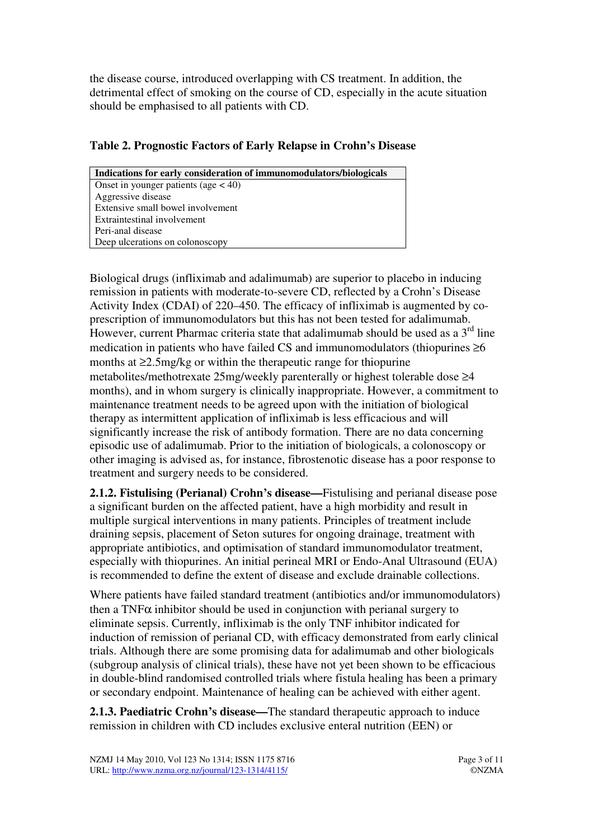the disease course, introduced overlapping with CS treatment. In addition, the detrimental effect of smoking on the course of CD, especially in the acute situation should be emphasised to all patients with CD.

### **Table 2. Prognostic Factors of Early Relapse in Crohn's Disease**

| Indications for early consideration of immunomodulators/biologicals |  |  |
|---------------------------------------------------------------------|--|--|
| Onset in younger patients (age $<$ 40)                              |  |  |
| Aggressive disease                                                  |  |  |
| Extensive small bowel involvement                                   |  |  |
| Extraintestinal involvement                                         |  |  |
| Peri-anal disease                                                   |  |  |
| Deep ulcerations on colonoscopy                                     |  |  |

Biological drugs (infliximab and adalimumab) are superior to placebo in inducing remission in patients with moderate-to-severe CD, reflected by a Crohn's Disease Activity Index (CDAI) of 220–450. The efficacy of infliximab is augmented by coprescription of immunomodulators but this has not been tested for adalimumab. However, current Pharmac criteria state that adalimumab should be used as a  $3<sup>rd</sup>$  line medication in patients who have failed CS and immunomodulators (thiopurines  $\geq 6$ ) months at ≥2.5mg/kg or within the therapeutic range for thiopurine metabolites/methotrexate 25mg/weekly parenterally or highest tolerable dose ≥4 months), and in whom surgery is clinically inappropriate. However, a commitment to maintenance treatment needs to be agreed upon with the initiation of biological therapy as intermittent application of infliximab is less efficacious and will significantly increase the risk of antibody formation. There are no data concerning episodic use of adalimumab. Prior to the initiation of biologicals, a colonoscopy or other imaging is advised as, for instance, fibrostenotic disease has a poor response to treatment and surgery needs to be considered.

**2.1.2. Fistulising (Perianal) Crohn's disease—**Fistulising and perianal disease pose a significant burden on the affected patient, have a high morbidity and result in multiple surgical interventions in many patients. Principles of treatment include draining sepsis, placement of Seton sutures for ongoing drainage, treatment with appropriate antibiotics, and optimisation of standard immunomodulator treatment, especially with thiopurines. An initial perineal MRI or Endo-Anal Ultrasound (EUA) is recommended to define the extent of disease and exclude drainable collections.

Where patients have failed standard treatment (antibiotics and/or immunomodulators) then a TNF $\alpha$  inhibitor should be used in conjunction with perianal surgery to eliminate sepsis. Currently, infliximab is the only TNF inhibitor indicated for induction of remission of perianal CD, with efficacy demonstrated from early clinical trials. Although there are some promising data for adalimumab and other biologicals (subgroup analysis of clinical trials), these have not yet been shown to be efficacious in double-blind randomised controlled trials where fistula healing has been a primary or secondary endpoint. Maintenance of healing can be achieved with either agent.

**2.1.3. Paediatric Crohn's disease—**The standard therapeutic approach to induce remission in children with CD includes exclusive enteral nutrition (EEN) or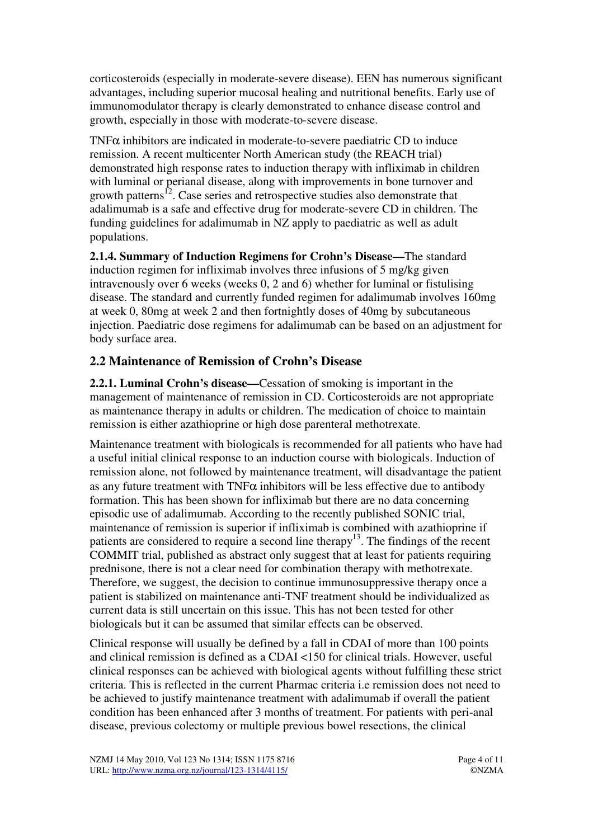corticosteroids (especially in moderate-severe disease). EEN has numerous significant advantages, including superior mucosal healing and nutritional benefits. Early use of immunomodulator therapy is clearly demonstrated to enhance disease control and growth, especially in those with moderate-to-severe disease.

TNF $\alpha$  inhibitors are indicated in moderate-to-severe paediatric CD to induce remission. A recent multicenter North American study (the REACH trial) demonstrated high response rates to induction therapy with infliximab in children with luminal or perianal disease, along with improvements in bone turnover and growth patterns<sup>12</sup>. Case series and retrospective studies also demonstrate that adalimumab is a safe and effective drug for moderate-severe CD in children. The funding guidelines for adalimumab in NZ apply to paediatric as well as adult populations.

**2.1.4. Summary of Induction Regimens for Crohn's Disease—**The standard induction regimen for infliximab involves three infusions of 5 mg/kg given intravenously over 6 weeks (weeks 0, 2 and 6) whether for luminal or fistulising disease. The standard and currently funded regimen for adalimumab involves 160mg at week 0, 80mg at week 2 and then fortnightly doses of 40mg by subcutaneous injection. Paediatric dose regimens for adalimumab can be based on an adjustment for body surface area.

## **2.2 Maintenance of Remission of Crohn's Disease**

**2.2.1. Luminal Crohn's disease—**Cessation of smoking is important in the management of maintenance of remission in CD. Corticosteroids are not appropriate as maintenance therapy in adults or children. The medication of choice to maintain remission is either azathioprine or high dose parenteral methotrexate.

Maintenance treatment with biologicals is recommended for all patients who have had a useful initial clinical response to an induction course with biologicals. Induction of remission alone, not followed by maintenance treatment, will disadvantage the patient as any future treatment with TNF $\alpha$  inhibitors will be less effective due to antibody formation. This has been shown for infliximab but there are no data concerning episodic use of adalimumab. According to the recently published SONIC trial, maintenance of remission is superior if infliximab is combined with azathioprine if patients are considered to require a second line therapy<sup>13</sup>. The findings of the recent COMMIT trial, published as abstract only suggest that at least for patients requiring prednisone, there is not a clear need for combination therapy with methotrexate. Therefore, we suggest, the decision to continue immunosuppressive therapy once a patient is stabilized on maintenance anti-TNF treatment should be individualized as current data is still uncertain on this issue. This has not been tested for other biologicals but it can be assumed that similar effects can be observed.

Clinical response will usually be defined by a fall in CDAI of more than 100 points and clinical remission is defined as a CDAI <150 for clinical trials. However, useful clinical responses can be achieved with biological agents without fulfilling these strict criteria. This is reflected in the current Pharmac criteria i.e remission does not need to be achieved to justify maintenance treatment with adalimumab if overall the patient condition has been enhanced after 3 months of treatment. For patients with peri-anal disease, previous colectomy or multiple previous bowel resections, the clinical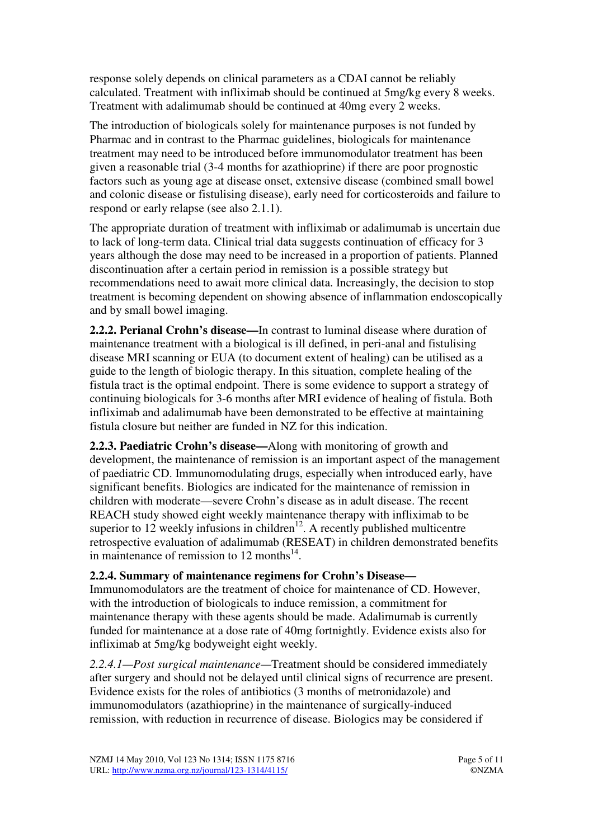response solely depends on clinical parameters as a CDAI cannot be reliably calculated. Treatment with infliximab should be continued at 5mg/kg every 8 weeks. Treatment with adalimumab should be continued at 40mg every 2 weeks.

The introduction of biologicals solely for maintenance purposes is not funded by Pharmac and in contrast to the Pharmac guidelines, biologicals for maintenance treatment may need to be introduced before immunomodulator treatment has been given a reasonable trial (3-4 months for azathioprine) if there are poor prognostic factors such as young age at disease onset, extensive disease (combined small bowel and colonic disease or fistulising disease), early need for corticosteroids and failure to respond or early relapse (see also 2.1.1).

The appropriate duration of treatment with infliximab or adalimumab is uncertain due to lack of long-term data. Clinical trial data suggests continuation of efficacy for 3 years although the dose may need to be increased in a proportion of patients. Planned discontinuation after a certain period in remission is a possible strategy but recommendations need to await more clinical data. Increasingly, the decision to stop treatment is becoming dependent on showing absence of inflammation endoscopically and by small bowel imaging.

**2.2.2. Perianal Crohn's disease—**In contrast to luminal disease where duration of maintenance treatment with a biological is ill defined, in peri-anal and fistulising disease MRI scanning or EUA (to document extent of healing) can be utilised as a guide to the length of biologic therapy. In this situation, complete healing of the fistula tract is the optimal endpoint. There is some evidence to support a strategy of continuing biologicals for 3-6 months after MRI evidence of healing of fistula. Both infliximab and adalimumab have been demonstrated to be effective at maintaining fistula closure but neither are funded in NZ for this indication.

**2.2.3. Paediatric Crohn's disease—**Along with monitoring of growth and development, the maintenance of remission is an important aspect of the management of paediatric CD. Immunomodulating drugs, especially when introduced early, have significant benefits. Biologics are indicated for the maintenance of remission in children with moderate—severe Crohn's disease as in adult disease. The recent REACH study showed eight weekly maintenance therapy with infliximab to be superior to 12 weekly infusions in children<sup>12</sup>. A recently published multicentre retrospective evaluation of adalimumab (RESEAT) in children demonstrated benefits in maintenance of remission to 12 months $^{14}$ .

#### **2.2.4. Summary of maintenance regimens for Crohn's Disease—**

Immunomodulators are the treatment of choice for maintenance of CD. However, with the introduction of biologicals to induce remission, a commitment for maintenance therapy with these agents should be made. Adalimumab is currently funded for maintenance at a dose rate of 40mg fortnightly. Evidence exists also for infliximab at 5mg/kg bodyweight eight weekly.

*2.2.4.1—Post surgical maintenance—*Treatment should be considered immediately after surgery and should not be delayed until clinical signs of recurrence are present. Evidence exists for the roles of antibiotics (3 months of metronidazole) and immunomodulators (azathioprine) in the maintenance of surgically-induced remission, with reduction in recurrence of disease. Biologics may be considered if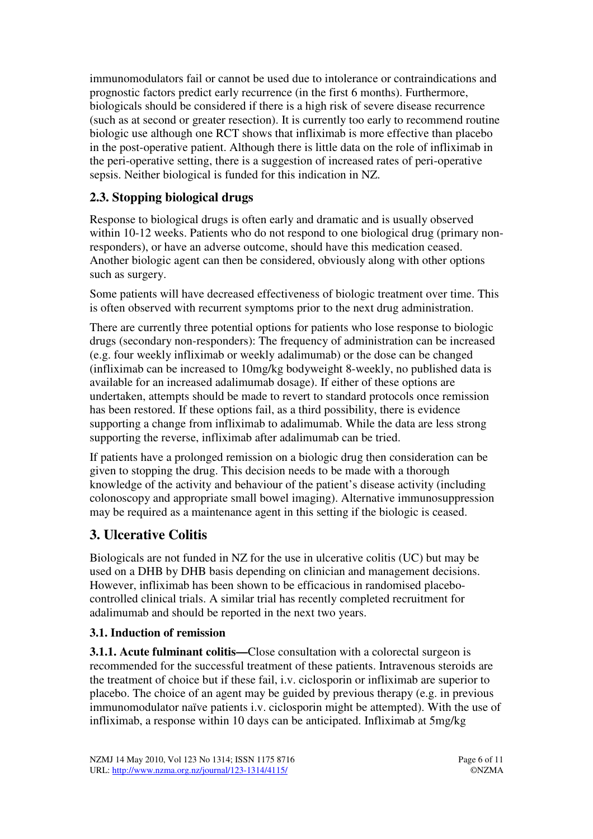immunomodulators fail or cannot be used due to intolerance or contraindications and prognostic factors predict early recurrence (in the first 6 months). Furthermore, biologicals should be considered if there is a high risk of severe disease recurrence (such as at second or greater resection). It is currently too early to recommend routine biologic use although one RCT shows that infliximab is more effective than placebo in the post-operative patient. Although there is little data on the role of infliximab in the peri-operative setting, there is a suggestion of increased rates of peri-operative sepsis. Neither biological is funded for this indication in NZ.

## **2.3. Stopping biological drugs**

Response to biological drugs is often early and dramatic and is usually observed within 10-12 weeks. Patients who do not respond to one biological drug (primary nonresponders), or have an adverse outcome, should have this medication ceased. Another biologic agent can then be considered, obviously along with other options such as surgery.

Some patients will have decreased effectiveness of biologic treatment over time. This is often observed with recurrent symptoms prior to the next drug administration.

There are currently three potential options for patients who lose response to biologic drugs (secondary non-responders): The frequency of administration can be increased (e.g. four weekly infliximab or weekly adalimumab) or the dose can be changed (infliximab can be increased to 10mg/kg bodyweight 8-weekly, no published data is available for an increased adalimumab dosage). If either of these options are undertaken, attempts should be made to revert to standard protocols once remission has been restored. If these options fail, as a third possibility, there is evidence supporting a change from infliximab to adalimumab. While the data are less strong supporting the reverse, infliximab after adalimumab can be tried.

If patients have a prolonged remission on a biologic drug then consideration can be given to stopping the drug. This decision needs to be made with a thorough knowledge of the activity and behaviour of the patient's disease activity (including colonoscopy and appropriate small bowel imaging). Alternative immunosuppression may be required as a maintenance agent in this setting if the biologic is ceased.

## **3. Ulcerative Colitis**

Biologicals are not funded in NZ for the use in ulcerative colitis (UC) but may be used on a DHB by DHB basis depending on clinician and management decisions. However, infliximab has been shown to be efficacious in randomised placebocontrolled clinical trials. A similar trial has recently completed recruitment for adalimumab and should be reported in the next two years.

### **3.1. Induction of remission**

**3.1.1. Acute fulminant colitis—Close consultation with a colorectal surgeon is** recommended for the successful treatment of these patients. Intravenous steroids are the treatment of choice but if these fail, i.v. ciclosporin or infliximab are superior to placebo. The choice of an agent may be guided by previous therapy (e.g. in previous immunomodulator naïve patients i.v. ciclosporin might be attempted). With the use of infliximab, a response within 10 days can be anticipated. Infliximab at 5mg/kg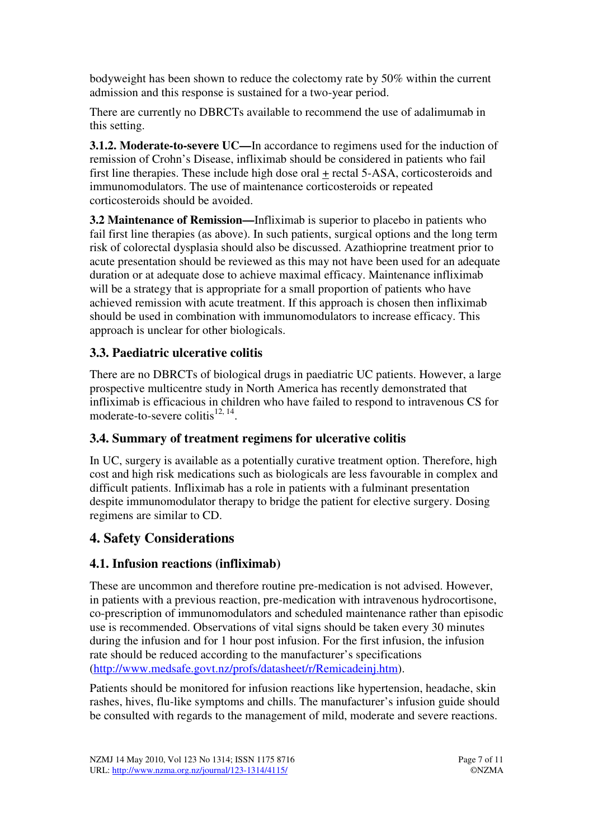bodyweight has been shown to reduce the colectomy rate by 50% within the current admission and this response is sustained for a two-year period.

There are currently no DBRCTs available to recommend the use of adalimumab in this setting.

**3.1.2. Moderate-to-severe UC—**In accordance to regimens used for the induction of remission of Crohn's Disease, infliximab should be considered in patients who fail first line therapies. These include high dose oral + rectal 5-ASA, corticosteroids and immunomodulators. The use of maintenance corticosteroids or repeated corticosteroids should be avoided.

**3.2 Maintenance of Remission—**Infliximab is superior to placebo in patients who fail first line therapies (as above). In such patients, surgical options and the long term risk of colorectal dysplasia should also be discussed. Azathioprine treatment prior to acute presentation should be reviewed as this may not have been used for an adequate duration or at adequate dose to achieve maximal efficacy. Maintenance infliximab will be a strategy that is appropriate for a small proportion of patients who have achieved remission with acute treatment. If this approach is chosen then infliximab should be used in combination with immunomodulators to increase efficacy. This approach is unclear for other biologicals.

## **3.3. Paediatric ulcerative colitis**

There are no DBRCTs of biological drugs in paediatric UC patients. However, a large prospective multicentre study in North America has recently demonstrated that infliximab is efficacious in children who have failed to respond to intravenous CS for moderate-to-severe colitis $^{12, 14}$ .

## **3.4. Summary of treatment regimens for ulcerative colitis**

In UC, surgery is available as a potentially curative treatment option. Therefore, high cost and high risk medications such as biologicals are less favourable in complex and difficult patients. Infliximab has a role in patients with a fulminant presentation despite immunomodulator therapy to bridge the patient for elective surgery. Dosing regimens are similar to CD.

## **4. Safety Considerations**

## **4.1. Infusion reactions (infliximab)**

These are uncommon and therefore routine pre-medication is not advised. However, in patients with a previous reaction, pre-medication with intravenous hydrocortisone, co-prescription of immunomodulators and scheduled maintenance rather than episodic use is recommended. Observations of vital signs should be taken every 30 minutes during the infusion and for 1 hour post infusion. For the first infusion, the infusion rate should be reduced according to the manufacturer's specifications (http://www.medsafe.govt.nz/profs/datasheet/r/Remicadeinj.htm).

Patients should be monitored for infusion reactions like hypertension, headache, skin rashes, hives, flu-like symptoms and chills. The manufacturer's infusion guide should be consulted with regards to the management of mild, moderate and severe reactions.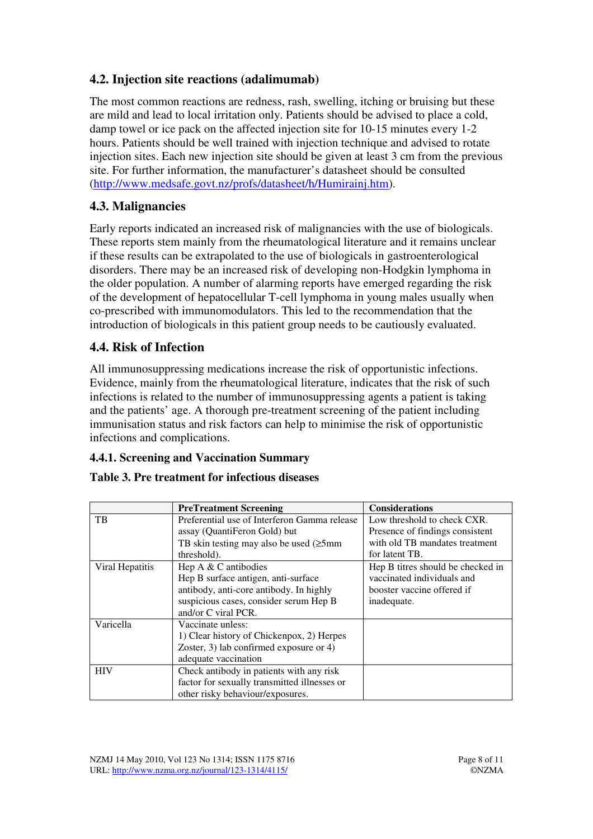## **4.2. Injection site reactions (adalimumab)**

The most common reactions are redness, rash, swelling, itching or bruising but these are mild and lead to local irritation only. Patients should be advised to place a cold, damp towel or ice pack on the affected injection site for 10-15 minutes every 1-2 hours. Patients should be well trained with injection technique and advised to rotate injection sites. Each new injection site should be given at least 3 cm from the previous site. For further information, the manufacturer's datasheet should be consulted (http://www.medsafe.govt.nz/profs/datasheet/h/Humirainj.htm).

## **4.3. Malignancies**

Early reports indicated an increased risk of malignancies with the use of biologicals. These reports stem mainly from the rheumatological literature and it remains unclear if these results can be extrapolated to the use of biologicals in gastroenterological disorders. There may be an increased risk of developing non-Hodgkin lymphoma in the older population. A number of alarming reports have emerged regarding the risk of the development of hepatocellular T-cell lymphoma in young males usually when co-prescribed with immunomodulators. This led to the recommendation that the introduction of biologicals in this patient group needs to be cautiously evaluated.

### **4.4. Risk of Infection**

All immunosuppressing medications increase the risk of opportunistic infections. Evidence, mainly from the rheumatological literature, indicates that the risk of such infections is related to the number of immunosuppressing agents a patient is taking and the patients' age. A thorough pre-treatment screening of the patient including immunisation status and risk factors can help to minimise the risk of opportunistic infections and complications.

### **4.4.1. Screening and Vaccination Summary**

#### **Table 3. Pre treatment for infectious diseases**

|                 | <b>PreTreatment Screening</b>                 | <b>Considerations</b>             |
|-----------------|-----------------------------------------------|-----------------------------------|
| TB              | Preferential use of Interferon Gamma release  | Low threshold to check CXR.       |
|                 | assay (QuantiFeron Gold) but                  | Presence of findings consistent   |
|                 | TB skin testing may also be used $(\geq 5$ mm | with old TB mandates treatment    |
|                 | threshold).                                   | for latent TB.                    |
| Viral Hepatitis | Hep $A \& C$ antibodies                       | Hep B titres should be checked in |
|                 | Hep B surface antigen, anti-surface           | vaccinated individuals and        |
|                 | antibody, anti-core antibody. In highly       | booster vaccine offered if        |
|                 | suspicious cases, consider serum Hep B        | inadequate.                       |
|                 | and/or C viral PCR.                           |                                   |
| Varicella       | Vaccinate unless:                             |                                   |
|                 | 1) Clear history of Chickenpox, 2) Herpes     |                                   |
|                 | Zoster, 3) lab confirmed exposure or 4)       |                                   |
|                 | adequate vaccination                          |                                   |
| <b>HIV</b>      | Check antibody in patients with any risk      |                                   |
|                 | factor for sexually transmitted illnesses or  |                                   |
|                 | other risky behaviour/exposures.              |                                   |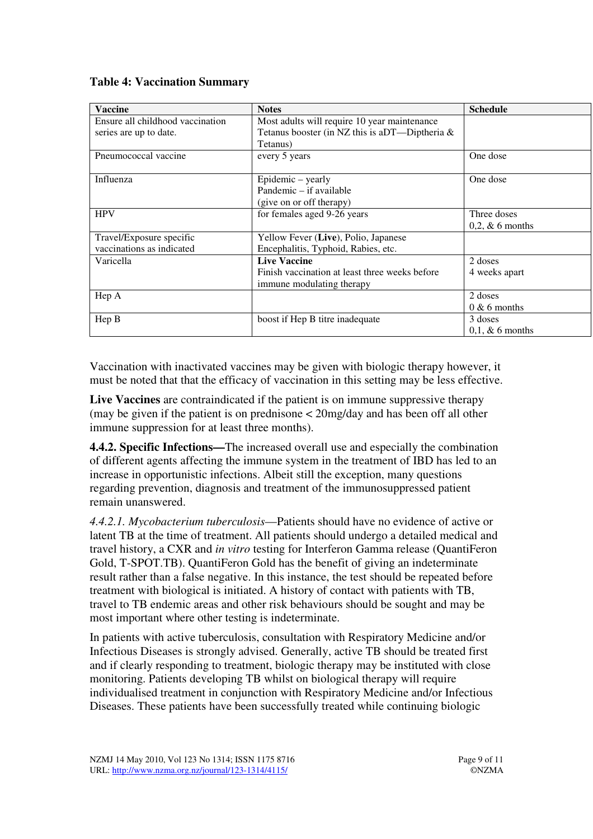| <b>Vaccine</b>                   | <b>Notes</b>                                   | <b>Schedule</b>    |
|----------------------------------|------------------------------------------------|--------------------|
| Ensure all childhood vaccination | Most adults will require 10 year maintenance   |                    |
| series are up to date.           | Tetanus booster (in NZ this is aDT—Diptheria & |                    |
|                                  | Tetanus)                                       |                    |
| Pneumococcal vaccine             | every 5 years                                  | One dose           |
|                                  |                                                |                    |
| Influenza                        | Epidemic – yearly                              | One dose           |
|                                  | Pandemic - if available                        |                    |
|                                  | (give on or off therapy)                       |                    |
| <b>HPV</b>                       | for females aged 9-26 years                    | Three doses        |
|                                  |                                                | $0,2, \& 6$ months |
| Travel/Exposure specific         | Yellow Fever (Live), Polio, Japanese           |                    |
| vaccinations as indicated        | Encephalitis, Typhoid, Rabies, etc.            |                    |
| Varicella                        | <b>Live Vaccine</b>                            | 2 doses            |
|                                  | Finish vaccination at least three weeks before | 4 weeks apart      |
|                                  | immune modulating therapy                      |                    |
| Hep A                            |                                                | 2 doses            |
|                                  |                                                | $0 & 6$ months     |
| Hep B                            | boost if Hep B titre inadequate                | 3 doses            |
|                                  |                                                | $0,1, \& 6$ months |

#### **Table 4: Vaccination Summary**

Vaccination with inactivated vaccines may be given with biologic therapy however, it must be noted that that the efficacy of vaccination in this setting may be less effective.

**Live Vaccines** are contraindicated if the patient is on immune suppressive therapy (may be given if the patient is on prednisone < 20mg/day and has been off all other immune suppression for at least three months).

**4.4.2. Specific Infections—**The increased overall use and especially the combination of different agents affecting the immune system in the treatment of IBD has led to an increase in opportunistic infections. Albeit still the exception, many questions regarding prevention, diagnosis and treatment of the immunosuppressed patient remain unanswered.

*4.4.2.1. Mycobacterium tuberculosis*—Patients should have no evidence of active or latent TB at the time of treatment. All patients should undergo a detailed medical and travel history, a CXR and *in vitro* testing for Interferon Gamma release (QuantiFeron Gold, T-SPOT.TB). QuantiFeron Gold has the benefit of giving an indeterminate result rather than a false negative. In this instance, the test should be repeated before treatment with biological is initiated. A history of contact with patients with TB, travel to TB endemic areas and other risk behaviours should be sought and may be most important where other testing is indeterminate.

In patients with active tuberculosis, consultation with Respiratory Medicine and/or Infectious Diseases is strongly advised. Generally, active TB should be treated first and if clearly responding to treatment, biologic therapy may be instituted with close monitoring. Patients developing TB whilst on biological therapy will require individualised treatment in conjunction with Respiratory Medicine and/or Infectious Diseases. These patients have been successfully treated while continuing biologic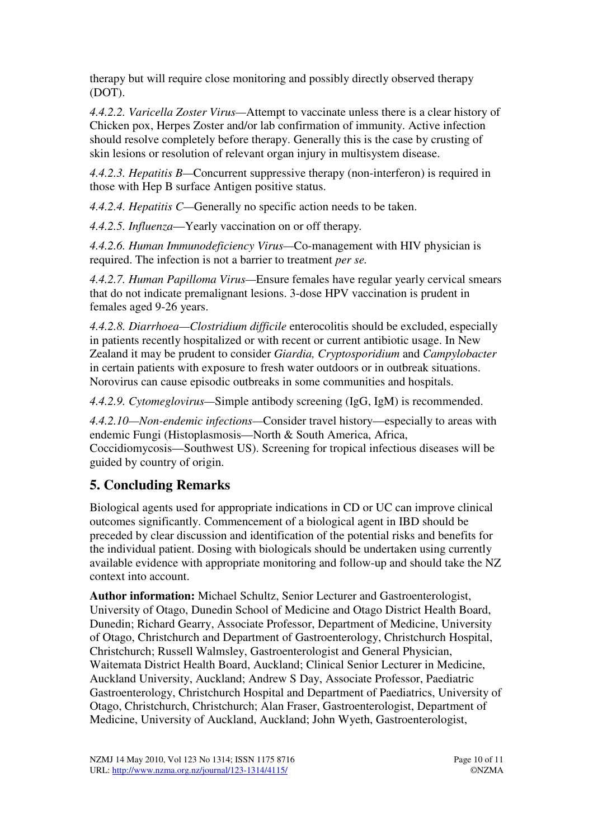therapy but will require close monitoring and possibly directly observed therapy (DOT).

*4.4.2.2. Varicella Zoster Virus—*Attempt to vaccinate unless there is a clear history of Chicken pox, Herpes Zoster and/or lab confirmation of immunity. Active infection should resolve completely before therapy. Generally this is the case by crusting of skin lesions or resolution of relevant organ injury in multisystem disease.

*4.4.2.3. Hepatitis B—*Concurrent suppressive therapy (non-interferon) is required in those with Hep B surface Antigen positive status.

*4.4.2.4. Hepatitis C—*Generally no specific action needs to be taken.

*4.4.2.5. Influenza*—Yearly vaccination on or off therapy*.*

*4.4.2.6. Human Immunodeficiency Virus—*Co-management with HIV physician is required. The infection is not a barrier to treatment *per se.*

*4.4.2.7. Human Papilloma Virus—*Ensure females have regular yearly cervical smears that do not indicate premalignant lesions. 3-dose HPV vaccination is prudent in females aged 9-26 years.

*4.4.2.8. Diarrhoea—Clostridium difficile* enterocolitis should be excluded, especially in patients recently hospitalized or with recent or current antibiotic usage. In New Zealand it may be prudent to consider *Giardia, Cryptosporidium* and *Campylobacter* in certain patients with exposure to fresh water outdoors or in outbreak situations. Norovirus can cause episodic outbreaks in some communities and hospitals.

*4.4.2.9. Cytomeglovirus—*Simple antibody screening (IgG, IgM) is recommended.

*4.4.2.10—Non-endemic infections—*Consider travel history—especially to areas with endemic Fungi (Histoplasmosis—North & South America, Africa, Coccidiomycosis—Southwest US). Screening for tropical infectious diseases will be guided by country of origin.

## **5. Concluding Remarks**

Biological agents used for appropriate indications in CD or UC can improve clinical outcomes significantly. Commencement of a biological agent in IBD should be preceded by clear discussion and identification of the potential risks and benefits for the individual patient. Dosing with biologicals should be undertaken using currently available evidence with appropriate monitoring and follow-up and should take the NZ context into account.

**Author information:** Michael Schultz, Senior Lecturer and Gastroenterologist, University of Otago, Dunedin School of Medicine and Otago District Health Board, Dunedin; Richard Gearry, Associate Professor, Department of Medicine, University of Otago, Christchurch and Department of Gastroenterology, Christchurch Hospital, Christchurch; Russell Walmsley, Gastroenterologist and General Physician, Waitemata District Health Board, Auckland; Clinical Senior Lecturer in Medicine, Auckland University, Auckland; Andrew S Day, Associate Professor, Paediatric Gastroenterology, Christchurch Hospital and Department of Paediatrics, University of Otago, Christchurch, Christchurch; Alan Fraser, Gastroenterologist, Department of Medicine, University of Auckland, Auckland; John Wyeth, Gastroenterologist,